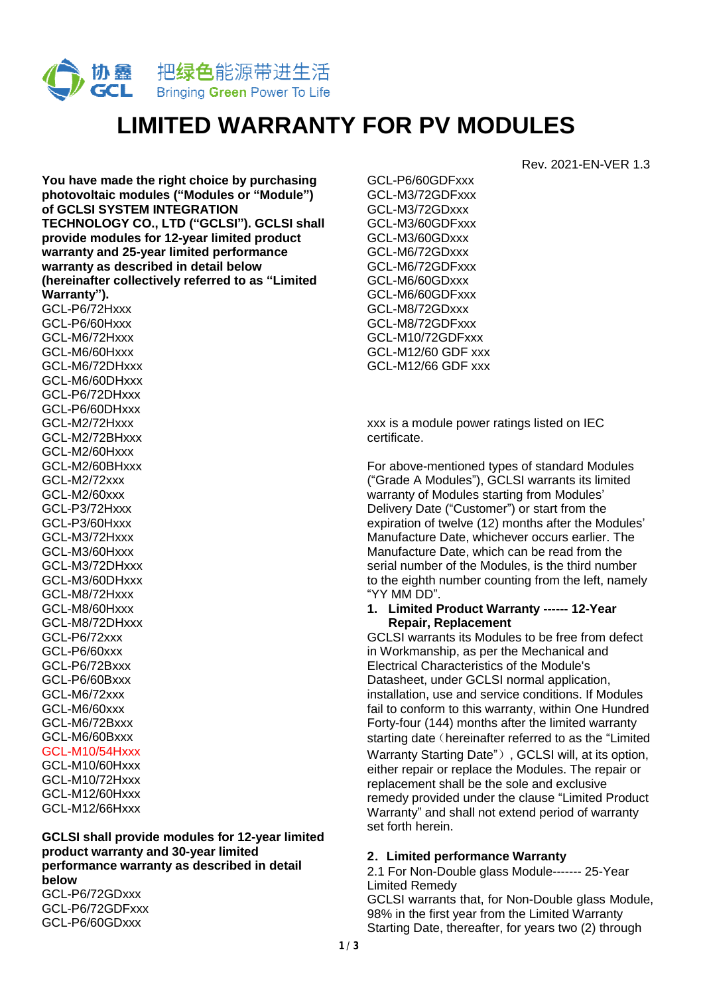

# **LIMITED WARRANTY FOR PV MODULES**

**You have made the right choice by purchasing photovoltaic modules ("Modules or "Module") of GCLSI SYSTEM INTEGRATION TECHNOLOGY CO., LTD ("GCLSI"). GCLSI shall provide modules for 12-year limited product warranty and 25-year limited performance warranty as described in detail below (hereinafter collectively referred to as "Limited Warranty").** 

GCL-P6/72Hxxx GCL-P6/60Hxxx GCL-M6/72Hxxx GCL-M6/60Hxxx GCL-M6/72DHxxx GCL-M6/60DHxxx GCL-P6/72DHxxx GCL-P6/60DHxxx GCL-M2/72Hxxx GCL-M2/72BHxxx GCL-M2/60Hxxx GCL-M2/60BHxxx GCL-M2/72xxx GCL-M2/60xxx GCL-P3/72Hxxx GCL-P3/60Hxxx GCL-M3/72Hxxx GCL-M3/60Hxxx GCL-M3/72DHxxx GCL-M3/60DHxxx GCL-M8/72Hxxx GCL-M8/60Hxxx GCL-M8/72DHxxx GCL-P6/72xxx GCL-P6/60xxx GCL-P6/72Bxxx GCL-P6/60Bxxx GCL-M6/72xxx GCL-M6/60xxx GCL-M6/72Bxxx GCL-M6/60Bxxx GCL-M10/54Hxxx GCL-M10/60Hxxx GCL-M10/72Hxxx GCL-M12/60Hxxx GCL-M12/66Hxxx

**GCLSI shall provide modules for 12-year limited product warranty and 30-year limited performance warranty as described in detail below**  GCL-P6/72GDxxx

GCL-P6/72GDFxxx GCL-P6/60GDxxx

GCL-P6/60GDFxxx GCL-M3/72GDFxxx GCL-M3/72GDxxx GCL-M3/60GDFxxx GCL-M3/60GDxxx GCL-M6/72GDxxx GCL-M6/72GDFxxx GCL-M6/60GDxxx GCL-M6/60GDFxxx GCL-M8/72GDxxx GCL-M8/72GDFxxx GCL-M10/72GDFxxx GCL-M12/60 GDF xxx GCL-M12/66 GDF xxx

xxx is a module power ratings listed on IEC certificate.

For above-mentioned types of standard Modules ("Grade A Modules"), GCLSI warrants its limited warranty of Modules starting from Modules' Delivery Date ("Customer") or start from the expiration of twelve (12) months after the Modules' Manufacture Date, whichever occurs earlier. The Manufacture Date, which can be read from the serial number of the Modules, is the third number to the eighth number counting from the left, namely "YY MM DD".

Rev. 2021-EN-VER 1.3

#### **1. Limited Product Warranty ------ 12-Year Repair, Replacement**

GCLSI warrants its Modules to be free from defect in Workmanship, as per the Mechanical and Electrical Characteristics of the Module's Datasheet, under GCLSI normal application, installation, use and service conditions. If Modules fail to conform to this warranty, within One Hundred Forty-four (144) months after the limited warranty starting date (hereinafter referred to as the "Limited Warranty Starting Date"), GCLSI will, at its option, either repair or replace the Modules. The repair or replacement shall be the sole and exclusive remedy provided under the clause "Limited Product Warranty" and shall not extend period of warranty set forth herein.

## **2**.**Limited performance Warranty**

2.1 For Non-Double glass Module------- 25-Year Limited Remedy

GCLSI warrants that, for Non-Double glass Module, 98% in the first year from the Limited Warranty Starting Date, thereafter, for years two (2) through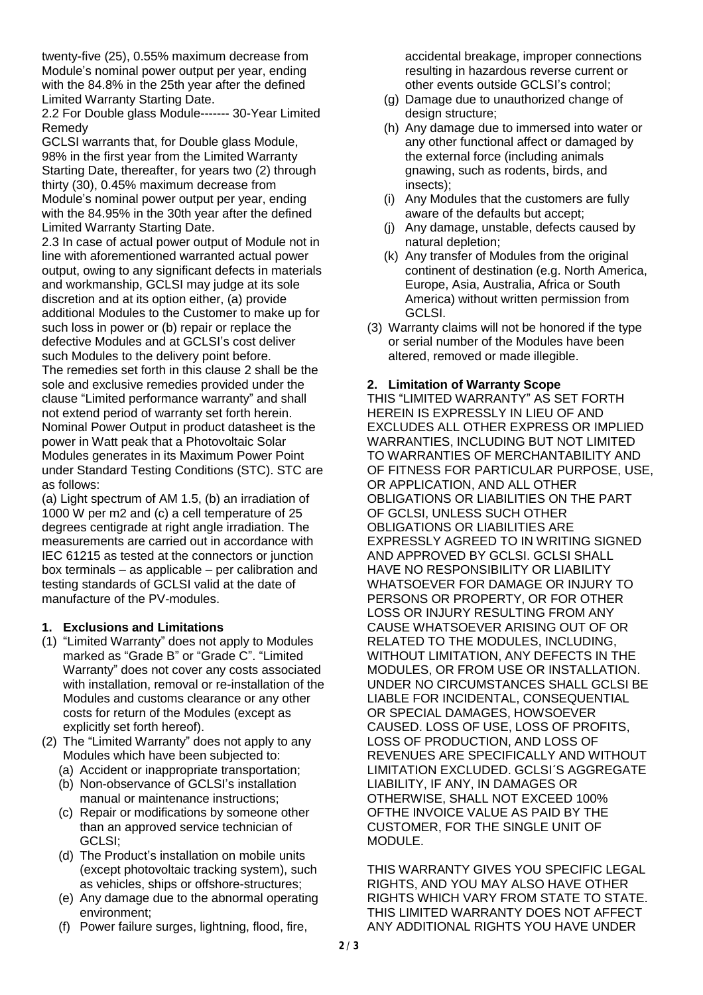twenty-five (25), 0.55% maximum decrease from Module's nominal power output per year, ending with the 84.8% in the 25th year after the defined Limited Warranty Starting Date.

2.2 For Double glass Module------- 30-Year Limited Remedy

GCLSI warrants that, for Double glass Module, 98% in the first year from the Limited Warranty Starting Date, thereafter, for years two (2) through thirty (30), 0.45% maximum decrease from Module's nominal power output per year, ending with the 84.95% in the 30th year after the defined Limited Warranty Starting Date.

2.3 In case of actual power output of Module not in line with aforementioned warranted actual power output, owing to any significant defects in materials and workmanship, GCLSI may judge at its sole discretion and at its option either, (a) provide additional Modules to the Customer to make up for such loss in power or (b) repair or replace the defective Modules and at GCLSI's cost deliver such Modules to the delivery point before. The remedies set forth in this clause 2 shall be the sole and exclusive remedies provided under the clause "Limited performance warranty" and shall not extend period of warranty set forth herein. Nominal Power Output in product datasheet is the power in Watt peak that a Photovoltaic Solar Modules generates in its Maximum Power Point under Standard Testing Conditions (STC). STC are as follows:

(a) Light spectrum of AM 1.5, (b) an irradiation of 1000 W per m2 and (c) a cell temperature of 25 degrees centigrade at right angle irradiation. The measurements are carried out in accordance with IEC 61215 as tested at the connectors or junction box terminals – as applicable – per calibration and testing standards of GCLSI valid at the date of manufacture of the PV-modules.

## **1. Exclusions and Limitations**

- (1) "Limited Warranty" does not apply to Modules marked as "Grade B" or "Grade C". "Limited Warranty" does not cover any costs associated with installation, removal or re-installation of the Modules and customs clearance or any other costs for return of the Modules (except as explicitly set forth hereof).
- (2) The "Limited Warranty" does not apply to any Modules which have been subjected to:
	- (a) Accident or inappropriate transportation;
	- (b) Non-observance of GCLSI's installation manual or maintenance instructions;
	- (c) Repair or modifications by someone other than an approved service technician of GCLSI;
	- (d) The Product's installation on mobile units (except photovoltaic tracking system), such as vehicles, ships or offshore-structures;
	- (e) Any damage due to the abnormal operating environment;
	- (f) Power failure surges, lightning, flood, fire,

accidental breakage, improper connections resulting in hazardous reverse current or other events outside GCLSI's control;

- (g) Damage due to unauthorized change of design structure;
- (h) Any damage due to immersed into water or any other functional affect or damaged by the external force (including animals gnawing, such as rodents, birds, and insects);
- (i) Any Modules that the customers are fully aware of the defaults but accept;
- (j) Any damage, unstable, defects caused by natural depletion;
- (k) Any transfer of Modules from the original continent of destination (e.g. North America, Europe, Asia, Australia, Africa or South America) without written permission from GCLSI.
- (3) Warranty claims will not be honored if the type or serial number of the Modules have been altered, removed or made illegible.

## **2. Limitation of Warranty Scope**

THIS "LIMITED WARRANTY" AS SET FORTH HEREIN IS EXPRESSLY IN LIEU OF AND EXCLUDES ALL OTHER EXPRESS OR IMPLIED WARRANTIES, INCLUDING BUT NOT LIMITED TO WARRANTIES OF MERCHANTABILITY AND OF FITNESS FOR PARTICULAR PURPOSE, USE, OR APPLICATION, AND ALL OTHER OBLIGATIONS OR LIABILITIES ON THE PART OF GCLSI, UNLESS SUCH OTHER OBLIGATIONS OR LIABILITIES ARE EXPRESSLY AGREED TO IN WRITING SIGNED AND APPROVED BY GCLSI. GCLSI SHALL HAVE NO RESPONSIBILITY OR LIABILITY WHATSOEVER FOR DAMAGE OR INJURY TO PERSONS OR PROPERTY, OR FOR OTHER LOSS OR INJURY RESULTING FROM ANY CAUSE WHATSOEVER ARISING OUT OF OR RELATED TO THE MODULES, INCLUDING, WITHOUT LIMITATION, ANY DEFECTS IN THE MODULES, OR FROM USE OR INSTALLATION. UNDER NO CIRCUMSTANCES SHALL GCLSI BE LIABLE FOR INCIDENTAL, CONSEQUENTIAL OR SPECIAL DAMAGES, HOWSOEVER CAUSED. LOSS OF USE, LOSS OF PROFITS, LOSS OF PRODUCTION, AND LOSS OF REVENUES ARE SPECIFICALLY AND WITHOUT LIMITATION EXCLUDED. GCLSI´S AGGREGATE LIABILITY, IF ANY, IN DAMAGES OR OTHERWISE, SHALL NOT EXCEED 100% OFTHE INVOICE VALUE AS PAID BY THE CUSTOMER, FOR THE SINGLE UNIT OF MODULE.

THIS WARRANTY GIVES YOU SPECIFIC LEGAL RIGHTS, AND YOU MAY ALSO HAVE OTHER RIGHTS WHICH VARY FROM STATE TO STATE. THIS LIMITED WARRANTY DOES NOT AFFECT ANY ADDITIONAL RIGHTS YOU HAVE UNDER